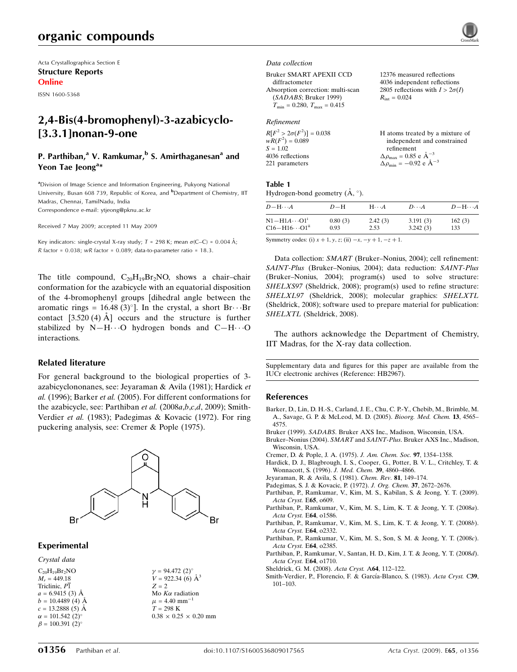# organic compounds

Acta Crystallographica Section E Structure Reports Online

ISSN 1600-5368

# 2,4-Bis(4-bromophenyl)-3-azabicyclo- [3.3.1]nonan-9-one

# P. Parthiban,<sup>a</sup> V. Ramkumar,<sup>b</sup> S. Amirthaganesan<sup>a</sup> and Yeon Tae Jeong<sup>a\*</sup>

<sup>a</sup>Division of Image Science and Information Engineering, Pukyong National University, Busan 608 739, Republic of Korea, and <sup>b</sup>Department of Chemistry, IIT Madras, Chennai, TamilNadu, India Correspondence e-mail: ytjeong@pknu.ac.kr

Received 7 May 2009; accepted 11 May 2009

Key indicators: single-crystal X-ray study;  $T = 298$  K; mean  $\sigma$ (C–C) = 0.004 Å; R factor =  $0.038$ ; wR factor =  $0.089$ ; data-to-parameter ratio =  $18.3$ .

The title compound,  $C_{20}H_{19}Br_2NO$ , shows a chair-chair conformation for the azabicycle with an equatorial disposition of the 4-bromophenyl groups [dihedral angle between the aromatic rings =  $16.48(3)$ °]. In the crystal, a short Br $\cdots$ Br contact  $[3.520 (4) \text{ Å}]$  occurs and the structure is further stabilized by  $N-H\cdots O$  hydrogen bonds and  $C-H\cdots O$ interactions.

### Related literature

For general background to the biological properties of 3 azabicyclononanes, see: Jeyaraman & Avila (1981); Hardick et al. (1996); Barker et al. (2005). For different conformations for the azabicycle, see: Parthiban et al. (2008a,b,c,d, 2009); Smith-Verdier et al. (1983); Padegimas & Kovacic (1972). For ring puckering analysis, see: Cremer & Pople (1975).



### Experimental

Crystal data

 $C_{20}H_{19}Br_2NO$  $M_r = 449.18$ Triclinic, P1  $a = 6.9415(3)$  Å  $b = 10.4489(4)$  Å  $c = 13.2888(5)$  Å  $\alpha = 101.542 \ (2)^{\circ}$  $\beta = 100.391$  (2)<sup>o</sup>

 $\gamma = 94.472 \ (2)^{\circ}$  $V = 922.34(6)$   $\AA^3$  $Z = 2$ Mo  $K\alpha$  radiation  $\mu$  = 4.40 mm<sup>-</sup>  $T = 298$  K  $0.38 \times 0.25 \times 0.20$  mm

#### Data collection

Bruker SMART APEXII CCD diffractometer Absorption correction: multi-scan (SADABS; Bruker 1999)  $T_{\text{min}} = 0.280, T_{\text{max}} = 0.415$ 

## Refinement

| $R[F^2 > 2\sigma(F^2)] = 0.038$ | H atoms treated by a mixture of                 |
|---------------------------------|-------------------------------------------------|
| $wR(F^2) = 0.089$               | independent and constrained                     |
| $S = 1.02$                      | refinement                                      |
| 4036 reflections                | $\Delta \rho_{\text{max}} = 0.85$ e $\AA^{-3}$  |
| 221 parameters                  | $\Delta \rho_{\text{min}} = -0.92$ e $\AA^{-3}$ |
|                                 |                                                 |

#### Table 1

Hydrogen-bond geometry  $(\AA, \degree)$ .

| $D - H \cdots A$                    | $D-H$   | $H\cdots A$ | $D\cdots A$ | $D - H \cdots A$ |
|-------------------------------------|---------|-------------|-------------|------------------|
| $N1 - H1A \cdots 01$                | 0.80(3) | 2.42(3)     | 3.191(3)    | 162(3)           |
| $C16 - H16 \cdots O1$ <sup>ii</sup> | 0.93    | 2.53        | 3.242(3)    | 133              |

Symmetry codes: (i)  $x + 1$ ,  $y$ ,  $z$ ; (ii)  $-x$ ,  $-y + 1$ ,  $-z + 1$ .

Data collection: SMART (Bruker–Nonius, 2004); cell refinement: SAINT-Plus (Bruker–Nonius, 2004); data reduction: SAINT-Plus (Bruker–Nonius, 2004); program(s) used to solve structure: SHELXS97 (Sheldrick, 2008); program(s) used to refine structure: SHELXL97 (Sheldrick, 2008); molecular graphics: SHELXTL (Sheldrick, 2008); software used to prepare material for publication: SHELXTL (Sheldrick, 2008).

The authors acknowledge the Department of Chemistry, IIT Madras, for the X-ray data collection.

Supplementary data and figures for this paper are available from the IUCr electronic archives (Reference: HB2967).

#### References

- [Barker, D., Lin, D. H.-S., Carland, J. E., Chu, C. P.-Y., Chebib, M., Brimble, M.](http://scripts.iucr.org/cgi-bin/cr.cgi?rm=pdfbb&cnor=hb2967&bbid=BB1) [A., Savage, G. P. & McLeod, M. D. \(2005\).](http://scripts.iucr.org/cgi-bin/cr.cgi?rm=pdfbb&cnor=hb2967&bbid=BB1) Bioorg. Med. Chem. 13, 4565– [4575.](http://scripts.iucr.org/cgi-bin/cr.cgi?rm=pdfbb&cnor=hb2967&bbid=BB1)
- Bruker (1999). SADABS[. Bruker AXS Inc., Madison, Wisconsin, USA.](http://scripts.iucr.org/cgi-bin/cr.cgi?rm=pdfbb&cnor=hb2967&bbid=BB2)

Bruker–Nonius (2004). SMART and SAINT-Plus[. Bruker AXS Inc., Madison,](http://scripts.iucr.org/cgi-bin/cr.cgi?rm=pdfbb&cnor=hb2967&bbid=BB3) [Wisconsin, USA.](http://scripts.iucr.org/cgi-bin/cr.cgi?rm=pdfbb&cnor=hb2967&bbid=BB3)

- [Cremer, D. & Pople, J. A. \(1975\).](http://scripts.iucr.org/cgi-bin/cr.cgi?rm=pdfbb&cnor=hb2967&bbid=BB4) J. Am. Chem. Soc. 97, 1354–1358.
- [Hardick, D. J., Blagbrough, I. S., Cooper, G., Potter, B. V. L., Critchley, T. &](http://scripts.iucr.org/cgi-bin/cr.cgi?rm=pdfbb&cnor=hb2967&bbid=BB5) [Wonnacott, S. \(1996\).](http://scripts.iucr.org/cgi-bin/cr.cgi?rm=pdfbb&cnor=hb2967&bbid=BB5) J. Med. Chem. 39, 4860–4866.
- [Jeyaraman, R. & Avila, S. \(1981\).](http://scripts.iucr.org/cgi-bin/cr.cgi?rm=pdfbb&cnor=hb2967&bbid=BB6) Chem. Rev. 81, 149–174.
- [Padegimas, S. J. & Kovacic, P. \(1972\).](http://scripts.iucr.org/cgi-bin/cr.cgi?rm=pdfbb&cnor=hb2967&bbid=BB7) J. Org. Chem. 37, 2672–2676.
- [Parthiban, P., Ramkumar, V., Kim, M. S., Kabilan, S. & Jeong, Y. T. \(2009\).](http://scripts.iucr.org/cgi-bin/cr.cgi?rm=pdfbb&cnor=hb2967&bbid=BB8) [Acta Cryst.](http://scripts.iucr.org/cgi-bin/cr.cgi?rm=pdfbb&cnor=hb2967&bbid=BB8) E65, o609.
- [Parthiban, P., Ramkumar, V., Kim, M. S., Lim, K. T. & Jeong, Y. T. \(2008](http://scripts.iucr.org/cgi-bin/cr.cgi?rm=pdfbb&cnor=hb2967&bbid=BB9)a). [Acta Cryst.](http://scripts.iucr.org/cgi-bin/cr.cgi?rm=pdfbb&cnor=hb2967&bbid=BB9) E64, o1586.
- [Parthiban, P., Ramkumar, V., Kim, M. S., Lim, K. T. & Jeong, Y. T. \(2008](http://scripts.iucr.org/cgi-bin/cr.cgi?rm=pdfbb&cnor=hb2967&bbid=BB12)b). [Acta Cryst.](http://scripts.iucr.org/cgi-bin/cr.cgi?rm=pdfbb&cnor=hb2967&bbid=BB12) E64, o2332.
- [Parthiban, P., Ramkumar, V., Kim, M. S., Son, S. M. & Jeong, Y. T. \(2008](http://scripts.iucr.org/cgi-bin/cr.cgi?rm=pdfbb&cnor=hb2967&bbid=BB13)c). [Acta Cryst.](http://scripts.iucr.org/cgi-bin/cr.cgi?rm=pdfbb&cnor=hb2967&bbid=BB13) E64, o2385.
- [Parthiban, P., Ramkumar, V., Santan, H. D., Kim, J. T. & Jeong, Y. T. \(2008](http://scripts.iucr.org/cgi-bin/cr.cgi?rm=pdfbb&cnor=hb2967&bbid=BB15)d). [Acta Cryst.](http://scripts.iucr.org/cgi-bin/cr.cgi?rm=pdfbb&cnor=hb2967&bbid=BB15) E64, o1710.
- [Sheldrick, G. M. \(2008\).](http://scripts.iucr.org/cgi-bin/cr.cgi?rm=pdfbb&cnor=hb2967&bbid=BB16) Acta Cryst. A64, 112–122.
- Smith-Verdier, P., Florencio, F. & García-Blanco, S. (1983). Acta Cryst. C39, [101–103.](http://scripts.iucr.org/cgi-bin/cr.cgi?rm=pdfbb&cnor=hb2967&bbid=BB17)



 $R_{\text{int}} = 0.024$ 

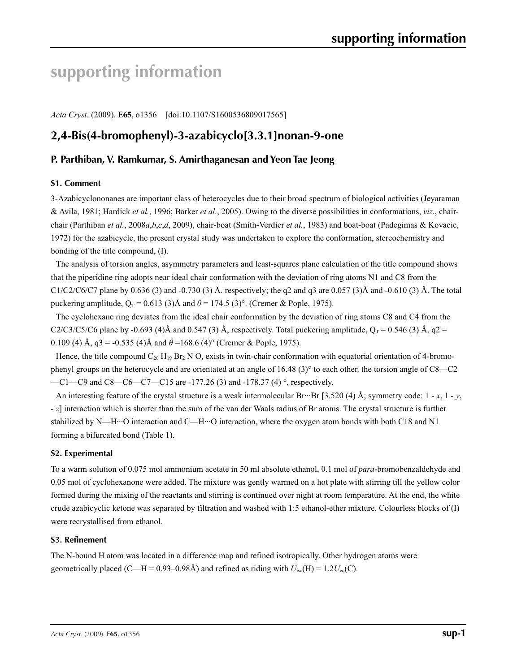# **supporting information**

*Acta Cryst.* (2009). E**65**, o1356 [doi:10.1107/S1600536809017565]

# **2,4-Bis(4-bromophenyl)-3-azabicyclo[3.3.1]nonan-9-one**

# **P. Parthiban, V. Ramkumar, S. Amirthaganesan and Yeon Tae Jeong**

# **S1. Comment**

3-Azabicyclononanes are important class of heterocycles due to their broad spectrum of biological activities (Jeyaraman & Avila, 1981; Hardick *et al.*, 1996; Barker *et al.*, 2005). Owing to the diverse possibilities in conformations, *viz*., chairchair (Parthiban *et al.*, 2008*a*,*b*,*c*,*d*, 2009), chair-boat (Smith-Verdier *et al.*, 1983) and boat-boat (Padegimas & Kovacic, 1972) for the azabicycle, the present crystal study was undertaken to explore the conformation, stereochemistry and bonding of the title compound, (I).

The analysis of torsion angles, asymmetry parameters and least-squares plane calculation of the title compound shows that the piperidine ring adopts near ideal chair conformation with the deviation of ring atoms N1 and C8 from the  $C1/C2/C6/C7$  plane by 0.636 (3) and -0.730 (3) Å. respectively; the q2 and q3 are 0.057 (3)Å and -0.610 (3) Å. The total puckering amplitude,  $Q_T = 0.613$  (3)Å and  $\theta = 174.5$  (3)°. (Cremer & Pople, 1975).

The cyclohexane ring deviates from the ideal chair conformation by the deviation of ring atoms C8 and C4 from the C2/C3/C5/C6 plane by -0.693 (4)Å and 0.547 (3) Å, respectively. Total puckering amplitude,  $Q_T = 0.546$  (3) Å, q2 = 0.109 (4) Å,  $q3 = -0.535$  (4)Å and  $\theta = 168.6$  (4)° (Cremer & Pople, 1975).

Hence, the title compound  $C_{20}$  H<sub>19</sub> Br<sub>2</sub> N O, exists in twin-chair conformation with equatorial orientation of 4-bromophenyl groups on the heterocycle and are orientated at an angle of 16.48 (3)° to each other. the torsion angle of C8—C2 —C1—C9 and C8—C6—C7—C15 are -177.26 (3) and -178.37 (4) °, respectively.

An interesting feature of the crystal structure is a weak intermolecular Br···Br [3.520 (4) Å; symmetry code:  $1 - x$ ,  $1 - y$ , - *z*] interaction which is shorter than the sum of the van der Waals radius of Br atoms. The crystal structure is further stabilized by N—H···O interaction and C—H···O interaction, where the oxygen atom bonds with both C18 and N1 forming a bifurcated bond (Table 1).

# **S2. Experimental**

To a warm solution of 0.075 mol ammonium acetate in 50 ml absolute ethanol, 0.1 mol of *para*-bromobenzaldehyde and 0.05 mol of cyclohexanone were added. The mixture was gently warmed on a hot plate with stirring till the yellow color formed during the mixing of the reactants and stirring is continued over night at room temparature. At the end, the white crude azabicyclic ketone was separated by filtration and washed with 1:5 ethanol-ether mixture. Colourless blocks of (I) were recrystallised from ethanol.

## **S3. Refinement**

The N-bound H atom was located in a difference map and refined isotropically. Other hydrogen atoms were geometrically placed (C—H =  $0.93-0.98\text{\AA}$ ) and refined as riding with  $U_{\text{iso}}(H) = 1.2U_{\text{eq}}(C)$ .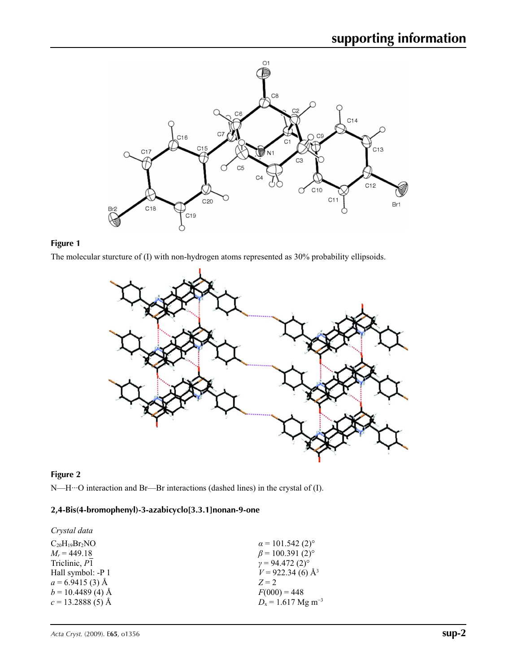

# **Figure 1**

The molecular sturcture of (I) with non-hydrogen atoms represented as 30% probability ellipsoids.



# **Figure 2**

N—H···O interaction and Br—Br interactions (dashed lines) in the crystal of (I).

# **2,4-Bis(4-bromophenyl)-3-azabicyclo[3.3.1]nonan-9-one**

| Crystal data         |                                     |
|----------------------|-------------------------------------|
| $C_{20}H_{19}Br_2NO$ | $\alpha$ = 101.542 (2) <sup>o</sup> |
| $M_r = 449.18$       | $\beta$ = 100.391 (2) <sup>o</sup>  |
| Triclinic, P1        | $\gamma = 94.472(2)^{\circ}$        |
| Hall symbol: -P 1    | $V = 922.34(6)$ Å <sup>3</sup>      |
| $a = 6.9415(3)$ Å    | $Z = 2$                             |
| $b = 10.4489(4)$ Å   | $F(000) = 448$                      |
| $c = 13.2888(5)$ Å   | $D_x = 1.617$ Mg m <sup>-3</sup>    |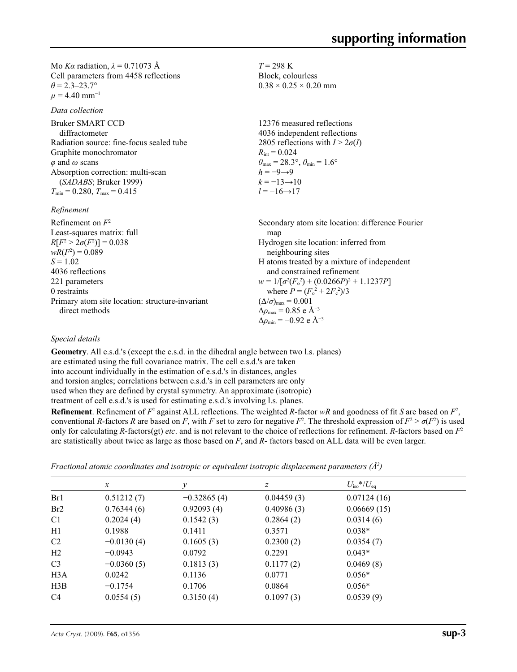Mo *Kα* radiation,  $\lambda = 0.71073$  Å Cell parameters from 4458 reflections  $\theta = 2.3 - 23.7$ °  $\mu$  = 4.40 mm<sup>-1</sup>

*Data collection*

Bruker SMART CCD diffractometer Radiation source: fine-focus sealed tube Graphite monochromator *φ* and *ω* scans Absorption correction: multi-scan (*SADABS*; Bruker 1999)  $T_{\text{min}} = 0.280, T_{\text{max}} = 0.415$ 

*Refinement*

Refinement on *F*<sup>2</sup> Least-squares matrix: full  $R[F^2 > 2\sigma(F^2)] = 0.038$  $wR(F^2) = 0.089$  $S = 1.02$ 4036 reflections 221 parameters 0 restraints Primary atom site location: structure-invariant direct methods Secondary atom site location: difference Fourier map Hydrogen site location: inferred from neighbouring sites H atoms treated by a mixture of independent and constrained refinement  $w = 1/[\sigma^2 (F_o^2) + (0.0266P)^2 + 1.1237P]$ where  $P = (F_o^2 + 2F_c^2)/3$  $(\Delta/\sigma)_{\text{max}} = 0.001$  $\Delta\rho_{\rm max}$  = 0.85 e Å<sup>-3</sup> Δ*ρ*min = −0.92 e Å−3

 $T = 298 \text{ K}$ Block, colourless  $0.38 \times 0.25 \times 0.20$  mm

 $R_{\text{int}} = 0.024$ 

 $h = -9 \rightarrow 9$  $k = -13 \rightarrow 10$  $l = -16 \rightarrow 17$ 

12376 measured reflections 4036 independent reflections 2805 reflections with  $I > 2\sigma(I)$ 

 $\theta_{\text{max}} = 28.3^{\circ}, \theta_{\text{min}} = 1.6^{\circ}$ 

# *Special details*

**Geometry**. All e.s.d.'s (except the e.s.d. in the dihedral angle between two l.s. planes) are estimated using the full covariance matrix. The cell e.s.d.'s are taken into account individually in the estimation of e.s.d.'s in distances, angles and torsion angles; correlations between e.s.d.'s in cell parameters are only used when they are defined by crystal symmetry. An approximate (isotropic) treatment of cell e.s.d.'s is used for estimating e.s.d.'s involving l.s. planes.

**Refinement**. Refinement of  $F^2$  against ALL reflections. The weighted *R*-factor  $wR$  and goodness of fit *S* are based on  $F^2$ , conventional *R*-factors *R* are based on *F*, with *F* set to zero for negative  $F^2$ . The threshold expression of  $F^2 > \sigma(F^2)$  is used only for calculating *R*-factors(gt) *etc*. and is not relevant to the choice of reflections for refinement. *R*-factors based on *F*<sup>2</sup> are statistically about twice as large as those based on *F*, and *R*- factors based on ALL data will be even larger.

*Fractional atomic coordinates and isotropic or equivalent isotropic displacement parameters (Å<sup>2</sup>)* 

| $\boldsymbol{x}$ | v             | z          | $U_{\rm iso}$ */ $U_{\rm eq}$ |  |
|------------------|---------------|------------|-------------------------------|--|
| 0.51212(7)       | $-0.32865(4)$ | 0.04459(3) | 0.07124(16)                   |  |
| 0.76344(6)       | 0.92093(4)    | 0.40986(3) | 0.06669(15)                   |  |
| 0.2024(4)        | 0.1542(3)     | 0.2864(2)  | 0.0314(6)                     |  |
| 0.1988           | 0.1411        | 0.3571     | $0.038*$                      |  |
| $-0.0130(4)$     | 0.1605(3)     | 0.2300(2)  | 0.0354(7)                     |  |
| $-0.0943$        | 0.0792        | 0.2291     | $0.043*$                      |  |
| $-0.0360(5)$     | 0.1813(3)     | 0.1177(2)  | 0.0469(8)                     |  |
| 0.0242           | 0.1136        | 0.0771     | $0.056*$                      |  |
| $-0.1754$        | 0.1706        | 0.0864     | $0.056*$                      |  |
| 0.0554(5)        | 0.3150(4)     | 0.1097(3)  | 0.0539(9)                     |  |
|                  |               |            |                               |  |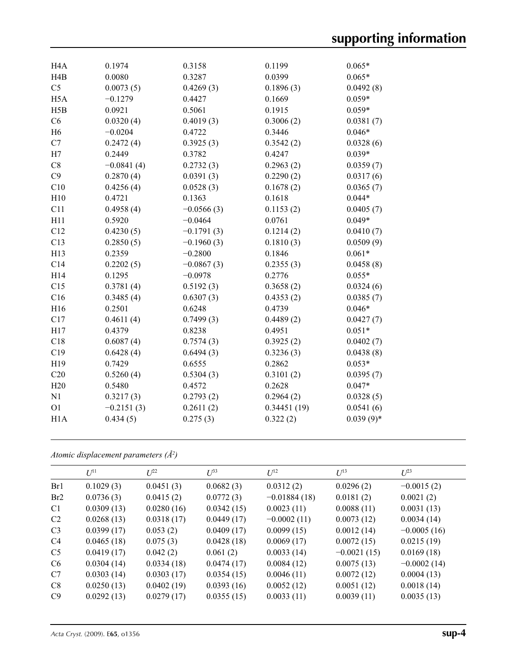| H <sub>4</sub> A | 0.1974       | 0.3158       | 0.1199      | $0.065*$    |
|------------------|--------------|--------------|-------------|-------------|
| H <sub>4</sub> B | 0.0080       | 0.3287       | 0.0399      | $0.065*$    |
| C <sub>5</sub>   | 0.0073(5)    | 0.4269(3)    | 0.1896(3)   | 0.0492(8)   |
| H <sub>5</sub> A | $-0.1279$    | 0.4427       | 0.1669      | $0.059*$    |
| H5B              | 0.0921       | 0.5061       | 0.1915      | $0.059*$    |
| C6               | 0.0320(4)    | 0.4019(3)    | 0.3006(2)   | 0.0381(7)   |
| H <sub>6</sub>   | $-0.0204$    | 0.4722       | 0.3446      | $0.046*$    |
| C7               | 0.2472(4)    | 0.3925(3)    | 0.3542(2)   | 0.0328(6)   |
| H7               | 0.2449       | 0.3782       | 0.4247      | $0.039*$    |
| C8               | $-0.0841(4)$ | 0.2732(3)    | 0.2963(2)   | 0.0359(7)   |
| C9               | 0.2870(4)    | 0.0391(3)    | 0.2290(2)   | 0.0317(6)   |
| C10              | 0.4256(4)    | 0.0528(3)    | 0.1678(2)   | 0.0365(7)   |
| H10              | 0.4721       | 0.1363       | 0.1618      | $0.044*$    |
| C11              | 0.4958(4)    | $-0.0566(3)$ | 0.1153(2)   | 0.0405(7)   |
| H11              | 0.5920       | $-0.0464$    | 0.0761      | $0.049*$    |
| C12              | 0.4230(5)    | $-0.1791(3)$ | 0.1214(2)   | 0.0410(7)   |
| C13              | 0.2850(5)    | $-0.1960(3)$ | 0.1810(3)   | 0.0509(9)   |
| H13              | 0.2359       | $-0.2800$    | 0.1846      | $0.061*$    |
| C14              | 0.2202(5)    | $-0.0867(3)$ | 0.2355(3)   | 0.0458(8)   |
| H14              | 0.1295       | $-0.0978$    | 0.2776      | $0.055*$    |
| C15              | 0.3781(4)    | 0.5192(3)    | 0.3658(2)   | 0.0324(6)   |
| C16              | 0.3485(4)    | 0.6307(3)    | 0.4353(2)   | 0.0385(7)   |
| H16              | 0.2501       | 0.6248       | 0.4739      | $0.046*$    |
| C17              | 0.4611(4)    | 0.7499(3)    | 0.4489(2)   | 0.0427(7)   |
| H17              | 0.4379       | 0.8238       | 0.4951      | $0.051*$    |
| C18              | 0.6087(4)    | 0.7574(3)    | 0.3925(2)   | 0.0402(7)   |
| C19              | 0.6428(4)    | 0.6494(3)    | 0.3236(3)   | 0.0438(8)   |
| H19              | 0.7429       | 0.6555       | 0.2862      | $0.053*$    |
| C20              | 0.5260(4)    | 0.5304(3)    | 0.3101(2)   | 0.0395(7)   |
| H20              | 0.5480       | 0.4572       | 0.2628      | $0.047*$    |
| N1               | 0.3217(3)    | 0.2793(2)    | 0.2964(2)   | 0.0328(5)   |
| O <sub>1</sub>   | $-0.2151(3)$ | 0.2611(2)    | 0.34451(19) | 0.0541(6)   |
| H1A              | 0.434(5)     | 0.275(3)     | 0.322(2)    | $0.039(9)*$ |
|                  |              |              |             |             |

*Atomic displacement parameters (Å2 )*

|                 | $U^{11}$   | $L^{22}$   | $\mathcal{L}^{\beta 3}$ | $U^{12}$       | $U^{13}$      | $L^{23}$      |
|-----------------|------------|------------|-------------------------|----------------|---------------|---------------|
| Br1             | 0.1029(3)  | 0.0451(3)  | 0.0682(3)               | 0.0312(2)      | 0.0296(2)     | $-0.0015(2)$  |
| Br <sub>2</sub> | 0.0736(3)  | 0.0415(2)  | 0.0772(3)               | $-0.01884(18)$ | 0.0181(2)     | 0.0021(2)     |
| C <sub>1</sub>  | 0.0309(13) | 0.0280(16) | 0.0342(15)              | 0.0023(11)     | 0.0088(11)    | 0.0031(13)    |
| C <sub>2</sub>  | 0.0268(13) | 0.0318(17) | 0.0449(17)              | $-0.0002(11)$  | 0.0073(12)    | 0.0034(14)    |
| C <sub>3</sub>  | 0.0399(17) | 0.053(2)   | 0.0409(17)              | 0.0099(15)     | 0.0012(14)    | $-0.0005(16)$ |
| C <sub>4</sub>  | 0.0465(18) | 0.075(3)   | 0.0428(18)              | 0.0069(17)     | 0.0072(15)    | 0.0215(19)    |
| C <sub>5</sub>  | 0.0419(17) | 0.042(2)   | 0.061(2)                | 0.0033(14)     | $-0.0021(15)$ | 0.0169(18)    |
| C <sub>6</sub>  | 0.0304(14) | 0.0334(18) | 0.0474(17)              | 0.0084(12)     | 0.0075(13)    | $-0.0002(14)$ |
| C <sub>7</sub>  | 0.0303(14) | 0.0303(17) | 0.0354(15)              | 0.0046(11)     | 0.0072(12)    | 0.0004(13)    |
| C8              | 0.0250(13) | 0.0402(19) | 0.0393(16)              | 0.0052(12)     | 0.0051(12)    | 0.0018(14)    |
| C9              | 0.0292(13) | 0.0279(17) | 0.0355(15)              | 0.0033(11)     | 0.0039(11)    | 0.0035(13)    |
|                 |            |            |                         |                |               |               |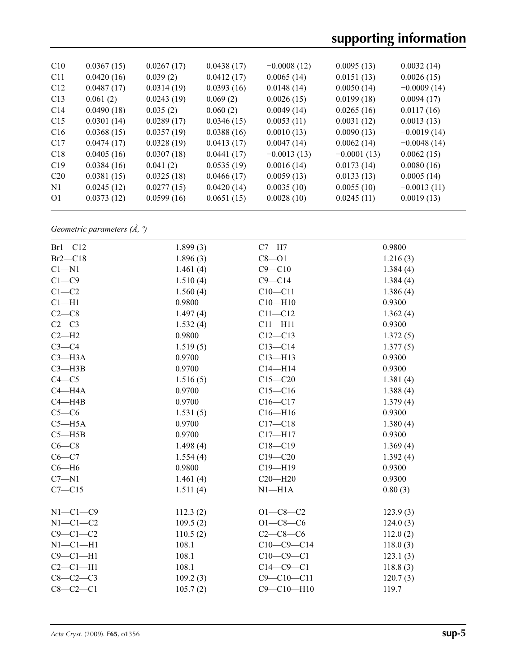| C10             | 0.0367(15) | 0.0267(17) | 0.0438(17) | $-0.0008(12)$ | 0.0095(13)    | 0.0032(14)    |
|-----------------|------------|------------|------------|---------------|---------------|---------------|
| C <sub>11</sub> | 0.0420(16) | 0.039(2)   | 0.0412(17) | 0.0065(14)    | 0.0151(13)    | 0.0026(15)    |
| C12             | 0.0487(17) | 0.0314(19) | 0.0393(16) | 0.0148(14)    | 0.0050(14)    | $-0.0009(14)$ |
| C13             | 0.061(2)   | 0.0243(19) | 0.069(2)   | 0.0026(15)    | 0.0199(18)    | 0.0094(17)    |
| C14             | 0.0490(18) | 0.035(2)   | 0.060(2)   | 0.0049(14)    | 0.0265(16)    | 0.0117(16)    |
| C15             | 0.0301(14) | 0.0289(17) | 0.0346(15) | 0.0053(11)    | 0.0031(12)    | 0.0013(13)    |
| C16             | 0.0368(15) | 0.0357(19) | 0.0388(16) | 0.0010(13)    | 0.0090(13)    | $-0.0019(14)$ |
| C17             | 0.0474(17) | 0.0328(19) | 0.0413(17) | 0.0047(14)    | 0.0062(14)    | $-0.0048(14)$ |
| C18             | 0.0405(16) | 0.0307(18) | 0.0441(17) | $-0.0013(13)$ | $-0.0001(13)$ | 0.0062(15)    |
| C19             | 0.0384(16) | 0.041(2)   | 0.0535(19) | 0.0016(14)    | 0.0173(14)    | 0.0080(16)    |
| C <sub>20</sub> | 0.0381(15) | 0.0325(18) | 0.0466(17) | 0.0059(13)    | 0.0133(13)    | 0.0005(14)    |
| N <sub>1</sub>  | 0.0245(12) | 0.0277(15) | 0.0420(14) | 0.0035(10)    | 0.0055(10)    | $-0.0013(11)$ |
| O <sub>1</sub>  | 0.0373(12) | 0.0599(16) | 0.0651(15) | 0.0028(10)    | 0.0245(11)    | 0.0019(13)    |
|                 |            |            |            |               |               |               |

*Geometric parameters (Å, º)*

| $Br1-C12$      | 1.899(3) | $C7 - H7$        | 0.9800   |
|----------------|----------|------------------|----------|
| $Br2-C18$      | 1.896(3) | $C8 - O1$        | 1.216(3) |
| $Cl - N1$      | 1.461(4) | $C9 - C10$       | 1.384(4) |
| $C1 - C9$      | 1.510(4) | $C9 - C14$       | 1.384(4) |
| $C1-C2$        | 1.560(4) | $C10 - C11$      | 1.386(4) |
| $Cl-H1$        | 0.9800   | $C10 - H10$      | 0.9300   |
| $C2-C8$        | 1.497(4) | $C11 - C12$      | 1.362(4) |
| $C2-C3$        | 1.532(4) | $C11 - H11$      | 0.9300   |
| $C2 - H2$      | 0.9800   | $C12 - C13$      | 1.372(5) |
| $C3-C4$        | 1.519(5) | $C13-C14$        | 1.377(5) |
| $C3 - H3A$     | 0.9700   | $C13 - H13$      | 0.9300   |
| $C3 - H3B$     | 0.9700   | $C14 - H14$      | 0.9300   |
| $C4 - C5$      | 1.516(5) | $C15 - C20$      | 1.381(4) |
| $C4 - H4A$     | 0.9700   | $C15 - C16$      | 1.388(4) |
| $C4 - H4B$     | 0.9700   | $C16 - C17$      | 1.379(4) |
| $C5-C6$        | 1.531(5) | $C16 - H16$      | 0.9300   |
| $C5 - H5A$     | 0.9700   | $C17 - C18$      | 1.380(4) |
| $C5 - H5B$     | 0.9700   | $C17 - H17$      | 0.9300   |
| $C6 - C8$      | 1.498(4) | $C18 - C19$      | 1.369(4) |
| $C6 - C7$      | 1.554(4) | $C19 - C20$      | 1.392(4) |
| $C6 - H6$      | 0.9800   | $C19 - H19$      | 0.9300   |
| $C7 - N1$      | 1.461(4) | $C20 - H20$      | 0.9300   |
| $C7 - C15$     | 1.511(4) | $N1 - H1A$       | 0.80(3)  |
| $N1-C1-C9$     | 112.3(2) | $O1 - C8 - C2$   | 123.9(3) |
| $N1-C1-C2$     | 109.5(2) | $O1 - C8 - C6$   | 124.0(3) |
| $C9 - C1 - C2$ | 110.5(2) | $C2-C8-C6$       | 112.0(2) |
| $N1-C1-H1$     | 108.1    | $C10-C9-C14$     | 118.0(3) |
| $C9 - C1 - H1$ | 108.1    | $C10-C9-C1$      | 123.1(3) |
| $C2-C1-H1$     | 108.1    | $C14-C9-C1$      | 118.8(3) |
| $C8-C2-C3$     | 109.2(3) | $C9 - C10 - C11$ | 120.7(3) |
| $C8-C2-C1$     | 105.7(2) | $C9 - C10 - H10$ | 119.7    |
|                |          |                  |          |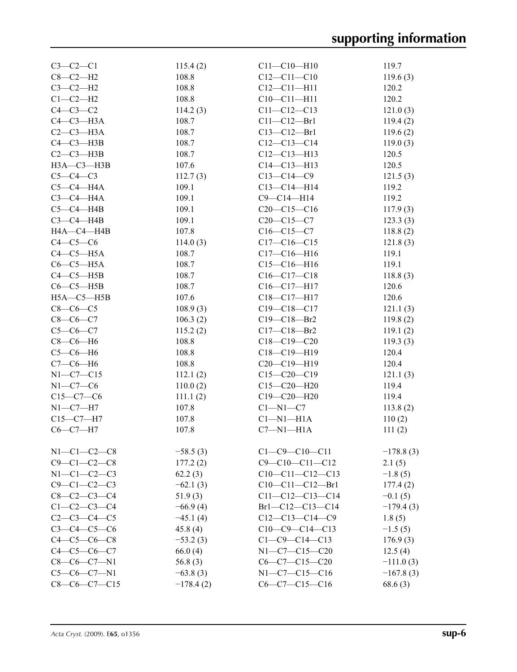| $C3-C2-C1$          | 115.4(2)    | $C11 - C10 - H10$      | 119.7       |
|---------------------|-------------|------------------------|-------------|
| $C8-C2-H2$          | 108.8       | $C12 - C11 - C10$      | 119.6(3)    |
| $C3-C2-H2$          | 108.8       | $C12 - C11 - H11$      | 120.2       |
| $C1-C2-H2$          | 108.8       | $C10-C11-H11$          | 120.2       |
| $C4-C3-C2$          | 114.2(3)    | $C11 - C12 - C13$      | 121.0(3)    |
| $C4-C3-H3A$         | 108.7       | $C11 - C12 - Br1$      | 119.4(2)    |
| $C2-C3-H3A$         | 108.7       | $C13 - C12 - Br1$      | 119.6(2)    |
| $C4-C3-H3B$         | 108.7       | $C12-C13-C14$          | 119.0(3)    |
| $C2-C3-H3B$         | 108.7       | $C12-C13-H13$          | 120.5       |
| $H3A - C3 - H3B$    | 107.6       | $C14 - C13 - H13$      | 120.5       |
| $C5-C4-C3$          | 112.7(3)    | $C13 - C14 - C9$       | 121.5(3)    |
| $C5-C4-H4A$         | 109.1       | $C13 - C14 - H14$      | 119.2       |
| $C3-C4-H4A$         | 109.1       | $C9 - C14 - H14$       | 119.2       |
| $C5-C4-H4B$         | 109.1       | $C20-C15-C16$          | 117.9(3)    |
| $C3-C4-H4B$         | 109.1       | $C20-C15-C7$           |             |
|                     |             | $C16 - C15 - C7$       | 123.3(3)    |
| HA—C4—H4B           | 107.8       |                        | 118.8(2)    |
| $C4-C5-C6$          | 114.0(3)    | $C17-C16-C15$          | 121.8(3)    |
| $C4-C5-H5A$         | 108.7       | $C17 - C16 - H16$      | 119.1       |
| $C6-C5-H5A$         | 108.7       | $C15-C16-H16$          | 119.1       |
| $C4-C5-H5B$         | 108.7       | $C16 - C17 - C18$      | 118.8(3)    |
| $C6-C5-H5B$         | 108.7       | $C16-C17-H17$          | 120.6       |
| $H5A - C5 - H5B$    | 107.6       | $C18 - C17 - H17$      | 120.6       |
| $C8-C6-C5$          | 108.9(3)    | $C19 - C18 - C17$      | 121.1(3)    |
| $C8-C6-C7$          | 106.3(2)    | $C19 - C18 - Br2$      | 119.8(2)    |
| $C5 - C6 - C7$      | 115.2(2)    | $C17 - C18 - Br2$      | 119.1(2)    |
| $C8-C6-H6$          | 108.8       | $C18 - C19 - C20$      | 119.3(3)    |
| $C5-C6-H6$          | 108.8       | $C18 - C19 - H19$      | 120.4       |
| $C7-C6-H6$          | 108.8       | $C20-C19-H19$          | 120.4       |
| $N1-C7-C15$         | 112.1(2)    | $C15-C20-C19$          | 121.1(3)    |
| $N1-C7-C6$          | 110.0(2)    | $C15 - C20 - H20$      | 119.4       |
| $C15-C7-C6$         | 111.1(2)    | $C19 - C20 - H20$      | 119.4       |
| N1--C7---H7         | 107.8       | $C1 - N1 - C7$         | 113.8(2)    |
| $C15-C7-H7$         | 107.8       | $Cl-M1-H1A$            | 110(2)      |
| $C6-C7-H7$          | 107.8       | $C7 - N1 - H1A$        | 111(2)      |
|                     |             |                        |             |
| $N1-C1-C2-C8$       | $-58.5(3)$  | $C1 - C9 - C10 - C11$  | $-178.8(3)$ |
| $C9 - C1 - C2 - C8$ | 177.2(2)    | $C9 - C10 - C11 - C12$ | 2.1(5)      |
| $N1 - C1 - C2 - C3$ | 62.2(3)     | $C10-C11-C12-C13$      | $-1.8(5)$   |
| $C9 - C1 - C2 - C3$ | $-62.1(3)$  | $C10-C11-C12-Br1$      | 177.4(2)    |
| $C8 - C2 - C3 - C4$ | 51.9(3)     | $C11-C12-C13-C14$      | $-0.1(5)$   |
| $C1 - C2 - C3 - C4$ | $-66.9(4)$  | $Br1-C12-C13-C14$      | $-179.4(3)$ |
| $C2 - C3 - C4 - C5$ | $-45.1(4)$  | $C12-C13-C14-C9$       | 1.8(5)      |
| $C3 - C4 - C5 - C6$ | 45.8(4)     | $C10-C9-C14-C13$       | $-1.5(5)$   |
| $C4 - C5 - C6 - C8$ | $-53.2(3)$  | $C1 - C9 - C14 - C13$  | 176.9(3)    |
| $C4 - C5 - C6 - C7$ | 66.0(4)     | $N1-C7-C15-C20$        | 12.5(4)     |
| $C8-C6-C7-N1$       | 56.8 $(3)$  | $C6-C7-C15-C20$        | $-111.0(3)$ |
| $C5-C6-C7-N1$       | $-63.8(3)$  | $N1-C7-C15-C16$        | $-167.8(3)$ |
| $C8-C6-C7-C15$      | $-178.4(2)$ | $C6-C7-C15-C16$        | 68.6(3)     |
|                     |             |                        |             |